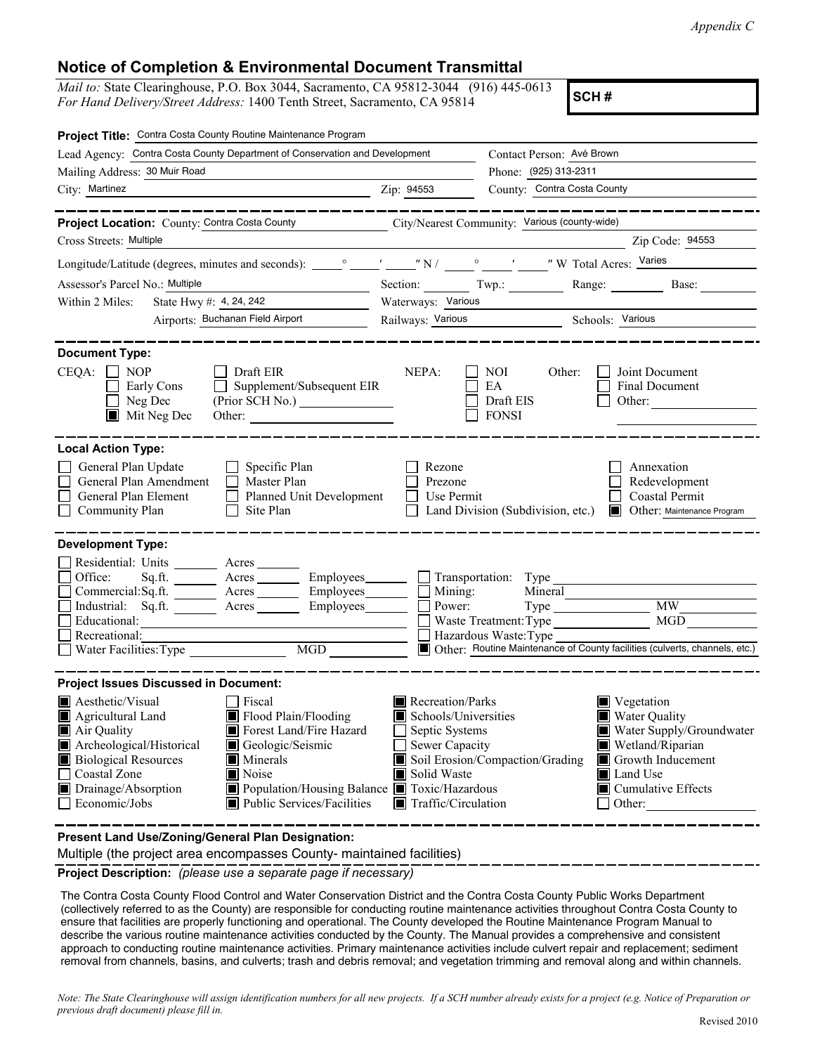*Appendix C*

## **Notice of Completion & Environmental Document Transmittal**

*Mail to:* State Clearinghouse, P.O. Box 3044, Sacramento, CA 95812-3044 (916) 445-0613 *For Hand Delivery/Street Address:* 1400 Tenth Street, Sacramento, CA 95814

**SCH #**

| Project Title: Contra Costa County Routine Maintenance Program                                                                                                                                                                                                                                                                                                                                                    |                                                                                                                                   |                                                                                          |                                                                                                                                                                              |  |  |  |
|-------------------------------------------------------------------------------------------------------------------------------------------------------------------------------------------------------------------------------------------------------------------------------------------------------------------------------------------------------------------------------------------------------------------|-----------------------------------------------------------------------------------------------------------------------------------|------------------------------------------------------------------------------------------|------------------------------------------------------------------------------------------------------------------------------------------------------------------------------|--|--|--|
| Lead Agency: Contra Costa County Department of Conservation and Development                                                                                                                                                                                                                                                                                                                                       |                                                                                                                                   | Contact Person: Avé Brown                                                                |                                                                                                                                                                              |  |  |  |
| Mailing Address: 30 Muir Road                                                                                                                                                                                                                                                                                                                                                                                     |                                                                                                                                   | Phone: (925) 313-2311                                                                    |                                                                                                                                                                              |  |  |  |
| City: Martinez                                                                                                                                                                                                                                                                                                                                                                                                    | Zip: 94553                                                                                                                        | County: Contra Costa County                                                              |                                                                                                                                                                              |  |  |  |
|                                                                                                                                                                                                                                                                                                                                                                                                                   |                                                                                                                                   |                                                                                          | ---------                                                                                                                                                                    |  |  |  |
| Project Location: County: Contra Costa County City/Nearest Community: Various (county-wide)                                                                                                                                                                                                                                                                                                                       |                                                                                                                                   |                                                                                          |                                                                                                                                                                              |  |  |  |
| Cross Streets: Multiple                                                                                                                                                                                                                                                                                                                                                                                           |                                                                                                                                   |                                                                                          | Zip Code: 94553                                                                                                                                                              |  |  |  |
|                                                                                                                                                                                                                                                                                                                                                                                                                   |                                                                                                                                   |                                                                                          |                                                                                                                                                                              |  |  |  |
| Assessor's Parcel No.: Multiple<br><u> 1989 - Johann Barbara, martxa alemaniar popularita</u>                                                                                                                                                                                                                                                                                                                     |                                                                                                                                   | Section: Twp.: Range: Base:                                                              |                                                                                                                                                                              |  |  |  |
| State Hwy #: 4, 24, 242<br>Within 2 Miles:                                                                                                                                                                                                                                                                                                                                                                        |                                                                                                                                   | Waterways: Various                                                                       |                                                                                                                                                                              |  |  |  |
| Airports: Buchanan Field Airport                                                                                                                                                                                                                                                                                                                                                                                  |                                                                                                                                   | Railways: Various Schools: Various                                                       |                                                                                                                                                                              |  |  |  |
| <b>Document Type:</b><br>$CEQA: \Box NP$<br>Draft EIR<br>Supplement/Subsequent EIR<br>Early Cons<br>Neg Dec<br>$\blacksquare$ Mit Neg Dec<br>Other:                                                                                                                                                                                                                                                               | NEPA:                                                                                                                             | NOI<br>Other:<br>EA<br>Draft EIS<br><b>FONSI</b>                                         | Joint Document<br>Final Document<br>Other: $\qquad \qquad$                                                                                                                   |  |  |  |
| <b>Local Action Type:</b><br>General Plan Update<br>Specific Plan<br>General Plan Amendment<br>$\Box$ Master Plan<br>General Plan Element<br>Planned Unit Development<br>$\mathsf{L}$<br>Community Plan<br>Site Plan                                                                                                                                                                                              | Rezone<br>Prezone<br>Use Permit<br>l 1                                                                                            | Land Division (Subdivision, etc.)                                                        | Annexation<br>Redevelopment<br>Coastal Permit<br>Other: Maintenance Program                                                                                                  |  |  |  |
| <b>Development Type:</b>                                                                                                                                                                                                                                                                                                                                                                                          |                                                                                                                                   |                                                                                          |                                                                                                                                                                              |  |  |  |
| Residential: Units ______<br>Acres<br>Office:<br>Sq.ft.<br>Acres __________ Employees________<br>Commercial:Sq.ft.<br>Acres Employees<br>Industrial: Sq.ft. Acres<br>Employees_______<br>Educational:<br>Recreational:<br>$\overline{\text{MGD}}$<br>Water Facilities: Type                                                                                                                                       | $\Box$ Mining:<br>Power:                                                                                                          | Transportation: Type<br>Mineral<br>Waste Treatment: Type<br>$\Box$ Hazardous Waste: Type | <b>MW</b><br>MGD<br>Other: Routine Maintenance of County facilities (culverts, channels, etc.)                                                                               |  |  |  |
| <b>Project Issues Discussed in Document:</b>                                                                                                                                                                                                                                                                                                                                                                      |                                                                                                                                   |                                                                                          |                                                                                                                                                                              |  |  |  |
| $\blacksquare$ Aesthetic/Visual<br>  Fiscal<br>Flood Plain/Flooding<br>Agricultural Land<br>Air Quality<br>Forest Land/Fire Hazard<br>Archeological/Historical<br>Geologic/Seismic<br><b>Biological Resources</b><br>$\blacksquare$ Minerals<br>Coastal Zone<br>Noise<br>Drainage/Absorption<br>Population/Housing Balance <b>T</b> Toxic/Hazardous<br>Economic/Jobs<br>$\blacksquare$ Public Services/Facilities | Recreation/Parks<br>Schools/Universities<br>Septic Systems<br>Sewer Capacity<br>Solid Waste<br>$\blacksquare$ Traffic/Circulation | Soil Erosion/Compaction/Grading                                                          | $\blacksquare$ Vegetation<br>■ Water Quality<br>Water Supply/Groundwater<br>Wetland/Riparian<br>Growth Inducement<br>Land Use<br>$\blacksquare$ Cumulative Effects<br>Other: |  |  |  |
| Present Land Use/Zoning/General Plan Designation:                                                                                                                                                                                                                                                                                                                                                                 |                                                                                                                                   |                                                                                          |                                                                                                                                                                              |  |  |  |

Multiple (the project area encompasses County- maintained facilities)

**Project Description:** *(please use a separate page if necessary)*

 The Contra Costa County Flood Control and Water Conservation District and the Contra Costa County Public Works Department (collectively referred to as the County) are responsible for conducting routine maintenance activities throughout Contra Costa County to ensure that facilities are properly functioning and operational. The County developed the Routine Maintenance Program Manual to describe the various routine maintenance activities conducted by the County. The Manual provides a comprehensive and consistent approach to conducting routine maintenance activities. Primary maintenance activities include culvert repair and replacement; sediment removal from channels, basins, and culverts; trash and debris removal; and vegetation trimming and removal along and within channels.

*Note: The State Clearinghouse will assign identification numbers for all new projects. If a SCH number already exists for a project (e.g. Notice of Preparation or previous draft document) please fill in.*